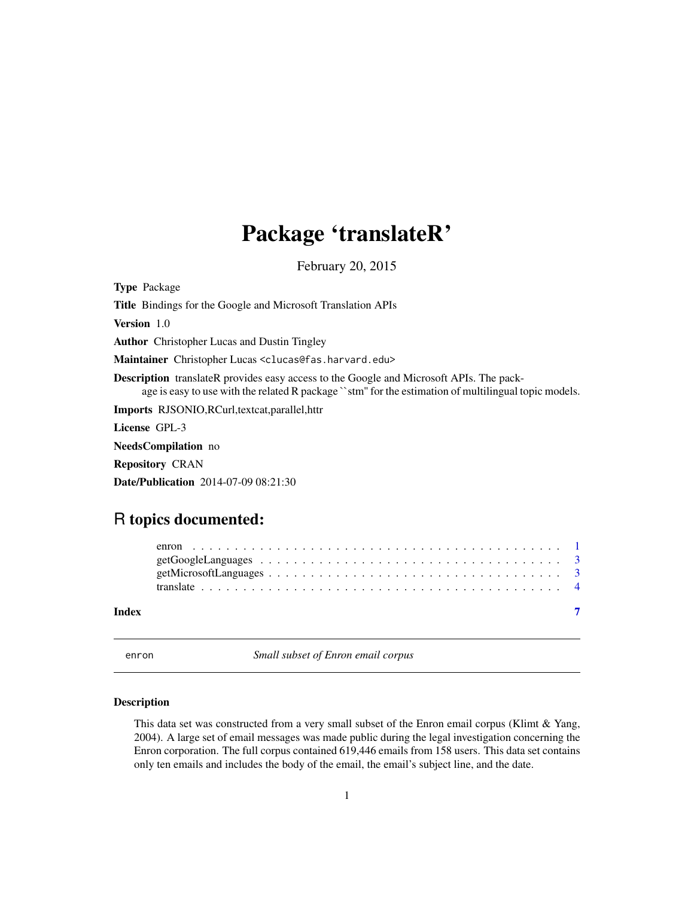# <span id="page-0-0"></span>Package 'translateR'

February 20, 2015

Type Package Title Bindings for the Google and Microsoft Translation APIs Version 1.0 Author Christopher Lucas and Dustin Tingley Maintainer Christopher Lucas <clucas@fas.harvard.edu> Description translateR provides easy access to the Google and Microsoft APIs. The package is easy to use with the related R package ``stm'' for the estimation of multilingual topic models. Imports RJSONIO,RCurl,textcat,parallel,httr License GPL-3 NeedsCompilation no Repository CRAN

## R topics documented:

Date/Publication 2014-07-09 08:21:30

| Index |  |  |  |  |  |  |  |  |  |  |  |  |  |  |  |  |  |  |
|-------|--|--|--|--|--|--|--|--|--|--|--|--|--|--|--|--|--|--|

enron *Small subset of Enron email corpus*

#### **Description**

This data set was constructed from a very small subset of the Enron email corpus (Klimt & Yang, 2004). A large set of email messages was made public during the legal investigation concerning the Enron corporation. The full corpus contained 619,446 emails from 158 users. This data set contains only ten emails and includes the body of the email, the email's subject line, and the date.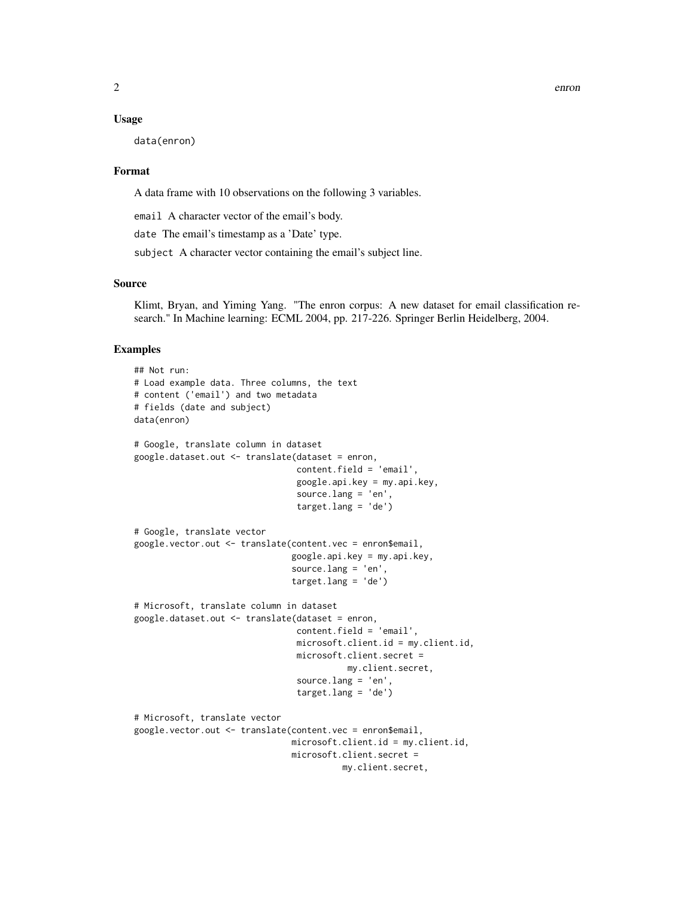#### Usage

data(enron)

#### Format

A data frame with 10 observations on the following 3 variables.

email A character vector of the email's body.

date The email's timestamp as a 'Date' type.

subject A character vector containing the email's subject line.

#### Source

Klimt, Bryan, and Yiming Yang. "The enron corpus: A new dataset for email classification research." In Machine learning: ECML 2004, pp. 217-226. Springer Berlin Heidelberg, 2004.

#### Examples

```
## Not run:
# Load example data. Three columns, the text
# content ('email') and two metadata
# fields (date and subject)
data(enron)
# Google, translate column in dataset
google.dataset.out <- translate(dataset = enron,
                                content.field = 'email',
                                google.api.key = my.api.key,
                                source.lang = 'en',
                                target.lang = 'de')
# Google, translate vector
google.vector.out <- translate(content.vec = enron$email,
                               google.api.key = my.api.key,
                               source.lang = 'en',
                               target.lang = 'de')
# Microsoft, translate column in dataset
google.dataset.out <- translate(dataset = enron,
                                content.field = 'email',
                                microsoft.client.id = my.client.id,
                                microsoft.client.secret =
                                          my.client.secret,
                                source.lang = 'en',
                                target.lang = 'de')
# Microsoft, translate vector
google.vector.out <- translate(content.vec = enron$email,
                               microsoft.client.id = my.client.id,
                               microsoft.client.secret =
                                         my.client.secret,
```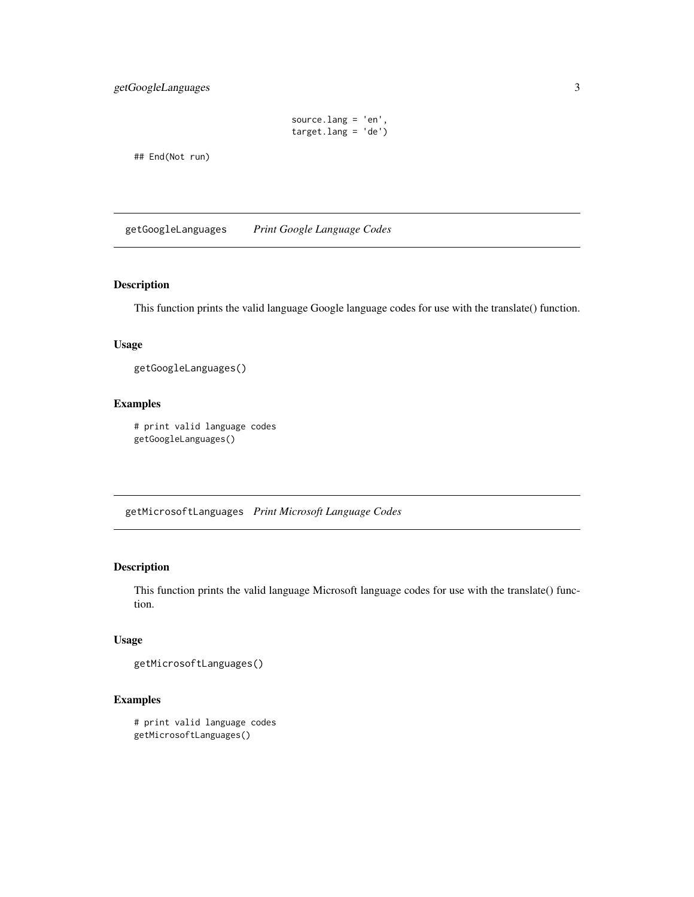```
source.lang = 'en',
target.lang = 'de')
```
<span id="page-2-0"></span>## End(Not run)

getGoogleLanguages *Print Google Language Codes*

#### Description

This function prints the valid language Google language codes for use with the translate() function.

#### Usage

```
getGoogleLanguages()
```
#### Examples

# print valid language codes getGoogleLanguages()

getMicrosoftLanguages *Print Microsoft Language Codes*

### Description

This function prints the valid language Microsoft language codes for use with the translate() function.

#### Usage

```
getMicrosoftLanguages()
```
#### Examples

```
# print valid language codes
getMicrosoftLanguages()
```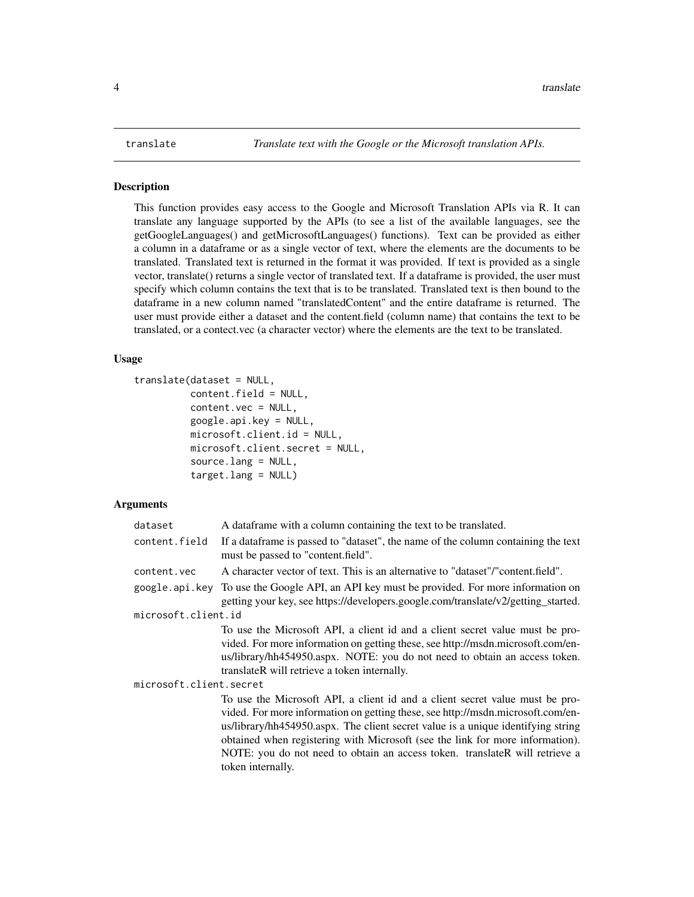#### <span id="page-3-0"></span>**Description**

This function provides easy access to the Google and Microsoft Translation APIs via R. It can translate any language supported by the APIs (to see a list of the available languages, see the getGoogleLanguages() and getMicrosoftLanguages() functions). Text can be provided as either a column in a dataframe or as a single vector of text, where the elements are the documents to be translated. Translated text is returned in the format it was provided. If text is provided as a single vector, translate() returns a single vector of translated text. If a dataframe is provided, the user must specify which column contains the text that is to be translated. Translated text is then bound to the dataframe in a new column named "translatedContent" and the entire dataframe is returned. The user must provide either a dataset and the content.field (column name) that contains the text to be translated, or a contect.vec (a character vector) where the elements are the text to be translated.

#### Usage

```
translate(dataset = NULL,
          content.field = NULL,
          content.vec = NULL,
          google.api.key = NULL,
          microsoft.client.id = NULL,
          microsoft.client.secret = NULL,
          source.lang = NULL,
          target.lang = NULL)
```
#### Arguments

| dataset                 | A data frame with a column containing the text to be translated.                                                                                                                                                                                                                                                                                                                                                                         |
|-------------------------|------------------------------------------------------------------------------------------------------------------------------------------------------------------------------------------------------------------------------------------------------------------------------------------------------------------------------------------------------------------------------------------------------------------------------------------|
| content.field           | If a data frame is passed to "dataset", the name of the column containing the text<br>must be passed to "content.field".                                                                                                                                                                                                                                                                                                                 |
| content.vec             | A character vector of text. This is an alternative to "dataset"/"content.field".                                                                                                                                                                                                                                                                                                                                                         |
|                         | google.api.key To use the Google API, an API key must be provided. For more information on<br>getting your key, see https://developers.google.com/translate/v2/getting_started.                                                                                                                                                                                                                                                          |
| microsoft.client.id     |                                                                                                                                                                                                                                                                                                                                                                                                                                          |
|                         | To use the Microsoft API, a client id and a client secret value must be pro-<br>vided. For more information on getting these, see http://msdn.microsoft.com/en-<br>us/library/hh454950.aspx. NOTE: you do not need to obtain an access token.<br>translateR will retrieve a token internally.                                                                                                                                            |
| microsoft.client.secret |                                                                                                                                                                                                                                                                                                                                                                                                                                          |
|                         | To use the Microsoft API, a client id and a client secret value must be pro-<br>vided. For more information on getting these, see http://msdn.microsoft.com/en-<br>us/library/hh454950.aspx. The client secret value is a unique identifying string<br>obtained when registering with Microsoft (see the link for more information).<br>NOTE: you do not need to obtain an access token. translateR will retrieve a<br>token internally. |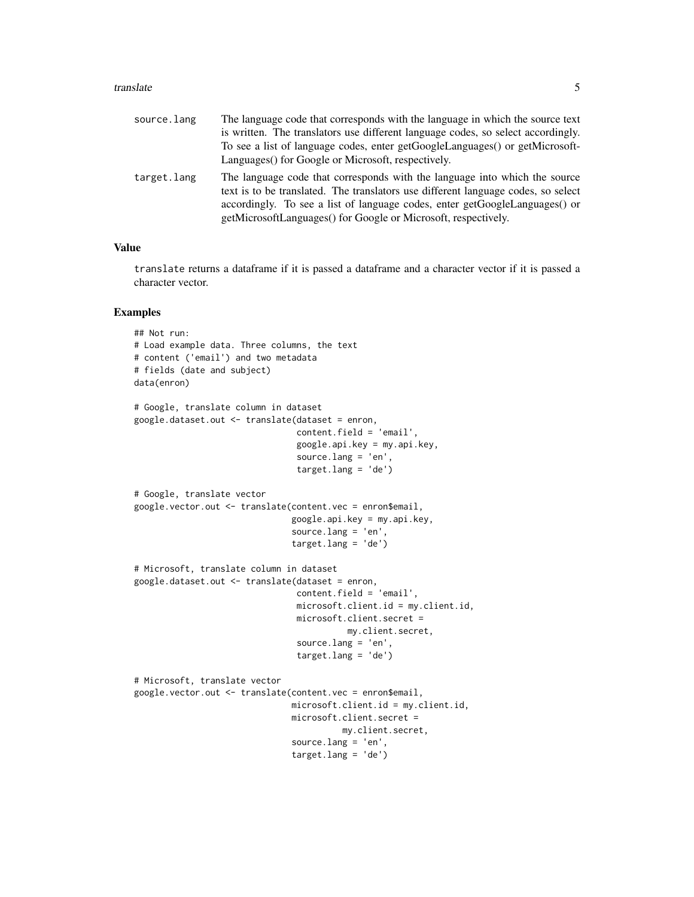#### translate 5

| source.lang | The language code that corresponds with the language in which the source text<br>is written. The translators use different language codes, so select accordingly.<br>To see a list of language codes, enter getGoogleLanguages() or getMicrosoft-<br>Languages() for Google or Microsoft, respectively.          |
|-------------|------------------------------------------------------------------------------------------------------------------------------------------------------------------------------------------------------------------------------------------------------------------------------------------------------------------|
| target.lang | The language code that corresponds with the language into which the source<br>text is to be translated. The translators use different language codes, so select<br>accordingly. To see a list of language codes, enter getGoogleLanguages() or<br>getMicrosoftLanguages() for Google or Microsoft, respectively. |

#### Value

translate returns a dataframe if it is passed a dataframe and a character vector if it is passed a character vector.

#### Examples

```
## Not run:
# Load example data. Three columns, the text
# content ('email') and two metadata
# fields (date and subject)
data(enron)
# Google, translate column in dataset
google.dataset.out <- translate(dataset = enron,
                                content.field = 'email',
                                google.api.key = my.api.key,
                                source.lang = 'en',
                                target.lang = 'de')
# Google, translate vector
google.vector.out <- translate(content.vec = enron$email,
                               google.api.key = my.api.key,
                               source.lang = 'en',
                               target.lang = 'de')
# Microsoft, translate column in dataset
google.dataset.out <- translate(dataset = enron,
                                content.field = 'email',
                                microsoft.client.id = my.client.id,
                                microsoft.client.secret =
                                          my.client.secret,
                                source.lang = 'en',
                                target.lang = 'de')
# Microsoft, translate vector
google.vector.out <- translate(content.vec = enron$email,
                               microsoft.client.id = my.client.id,
                               microsoft.client.secret =
                                         my.client.secret,
                               source.lang = 'en',
                               target.lang = 'de')
```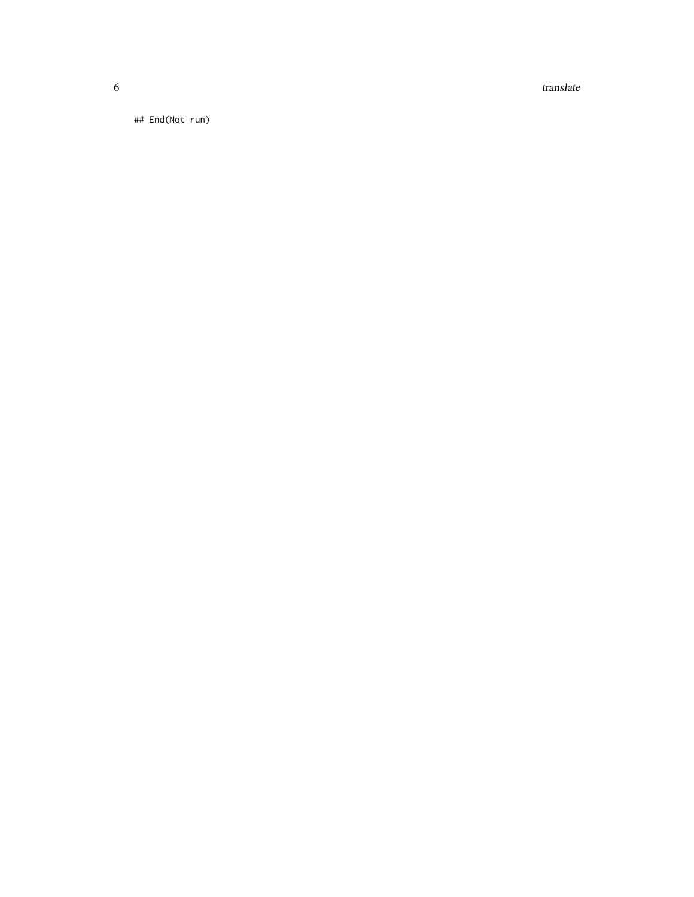6 translate the control of the control of the control of the control of the control of the control of the control of the control of the control of the control of the control of the control of the control of the control of

## End(Not run)